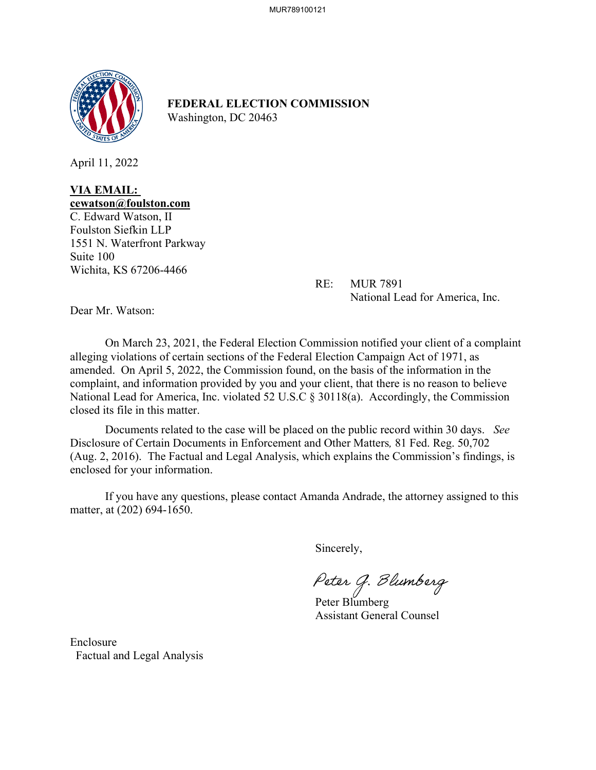

**FEDERAL ELECTION COMMISSION** Washington, DC 20463

April 11, 2022

### **VIA EMAIL: cewatson@foulston.com**

C. Edward Watson, II Foulston Siefkin LLP 1551 N. Waterfront Parkway Suite 100 Wichita, KS 67206-4466

 RE: MUR 7891 National Lead for America, Inc.

Dear Mr. Watson:

On March 23, 2021, the Federal Election Commission notified your client of a complaint alleging violations of certain sections of the Federal Election Campaign Act of 1971, as amended. On April 5, 2022, the Commission found, on the basis of the information in the complaint, and information provided by you and your client, that there is no reason to believe National Lead for America, Inc. violated 52 U.S.C § 30118(a). Accordingly, the Commission closed its file in this matter.

Documents related to the case will be placed on the public record within 30 days. *See*  Disclosure of Certain Documents in Enforcement and Other Matters*,* 81 Fed. Reg. 50,702 (Aug. 2, 2016). The Factual and Legal Analysis, which explains the Commission's findings, is enclosed for your information.

If you have any questions, please contact Amanda Andrade, the attorney assigned to this matter, at (202) 694-1650.

Sincerely,

Peter G. Blumberg<br>Peter Blumberg

Assistant General Counsel

Enclosure Factual and Legal Analysis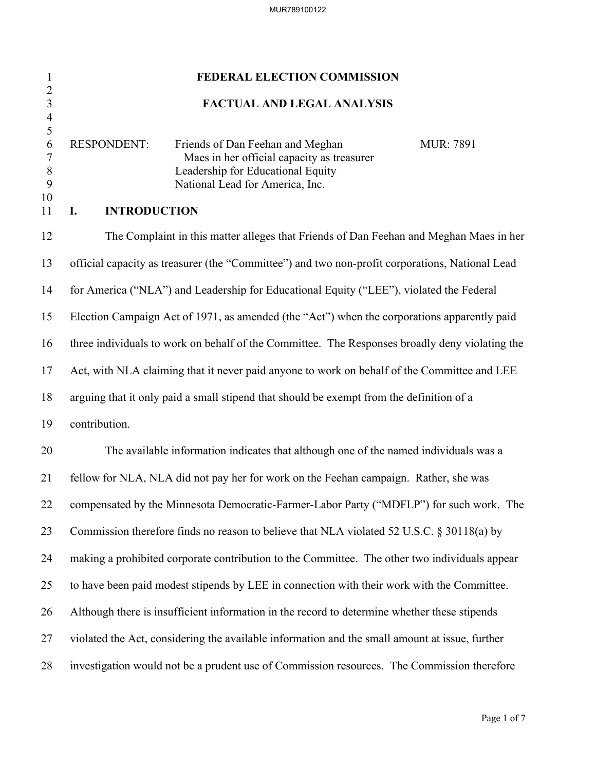# 1 **FEDERAL ELECTION COMMISSION** 2 3 **FACTUAL AND LEGAL ANALYSIS** 4  $\frac{5}{6}$ RESPONDENT: Friends of Dan Feehan and Meghan MUR: 7891 7 Maes in her official capacity as treasurer 8 Leadership for Educational Equity 9 National Lead for America, Inc. 10 11 **I. INTRODUCTION** 12 The Complaint in this matter alleges that Friends of Dan Feehan and Meghan Maes in her 13 official capacity as treasurer (the "Committee") and two non-profit corporations, National Lead 14 for America ("NLA") and Leadership for Educational Equity ("LEE"), violated the Federal 15 Election Campaign Act of 1971, as amended (the "Act") when the corporations apparently paid 16 three individuals to work on behalf of the Committee. The Responses broadly deny violating the 17 Act, with NLA claiming that it never paid anyone to work on behalf of the Committee and LEE 18 arguing that it only paid a small stipend that should be exempt from the definition of a 19 contribution. 20 The available information indicates that although one of the named individuals was a 21 fellow for NLA, NLA did not pay her for work on the Feehan campaign. Rather, she was 22 compensated by the Minnesota Democratic-Farmer-Labor Party ("MDFLP") for such work. The 23 Commission therefore finds no reason to believe that NLA violated 52 U.S.C. § 30118(a) by 24 making a prohibited corporate contribution to the Committee. The other two individuals appear 25 to have been paid modest stipends by LEE in connection with their work with the Committee. 26 Although there is insufficient information in the record to determine whether these stipends 27 violated the Act, considering the available information and the small amount at issue, further 28 investigation would not be a prudent use of Commission resources. The Commission therefore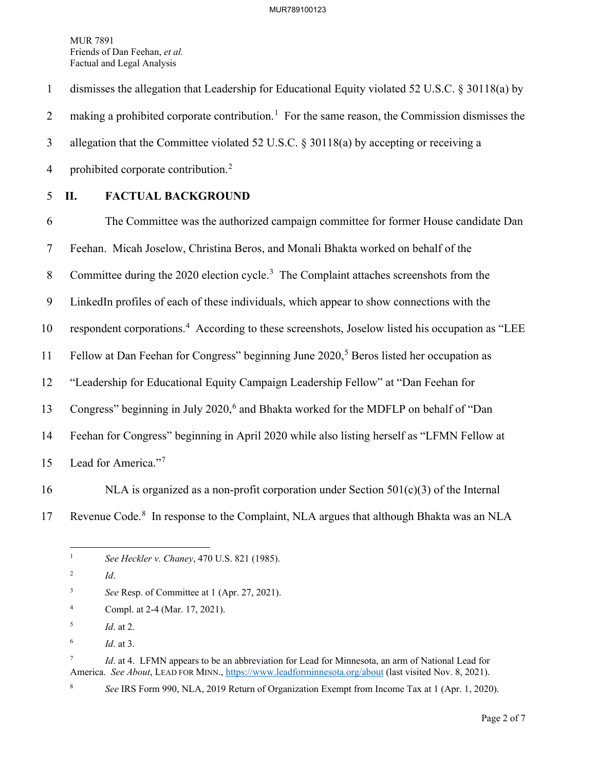1 dismisses the allegation that Leadership for Educational Equity violated 52 U.S.C. § 30118(a) by 2 making a prohibited corporate contribution.<sup>[1](#page-2-0)</sup> For the same reason, the Commission dismisses the 3 allegation that the Committee violated 52 U.S.C. § 30118(a) by accepting or receiving a 4 prohibited corporate contribution.<sup>[2](#page-2-1)</sup>

## 5 **II. FACTUAL BACKGROUND**

6 The Committee was the authorized campaign committee for former House candidate Dan 7 Feehan. Micah Joselow, Christina Beros, and Monali Bhakta worked on behalf of the 8 Committee during the 2020 election cycle.<sup>[3](#page-2-2)</sup> The Complaint attaches screenshots from the 9 LinkedIn profiles of each of these individuals, which appear to show connections with the 10 respondent corporations.<sup>[4](#page-2-3)</sup> According to these screenshots, Joselow listed his occupation as "LEE 11 Fellow at Dan Feehan for Congress" beginning June  $2020$ ,<sup>[5](#page-2-4)</sup> Beros listed her occupation as 12 "Leadership for Educational Equity Campaign Leadership Fellow" at "Dan Feehan for 13 Congress" beginning in July 2020,<sup>[6](#page-2-5)</sup> and Bhakta worked for the MDFLP on behalf of "Dan 14 Feehan for Congress" beginning in April 2020 while also listing herself as "LFMN Fellow at 15 Lead for America."<sup>[7](#page-2-6)</sup>

- 16 NLA is organized as a non-profit corporation under Section  $501(c)(3)$  of the Internal
- 

<span id="page-2-0"></span>17 Revenue Code.<sup>[8](#page-2-7)</sup> In response to the Complaint, NLA argues that although Bhakta was an NLA

<span id="page-2-3"></span>4 Compl. at 2-4 (Mar. 17, 2021).

6 *Id*. at 3.

<span id="page-2-7"></span>8

<span id="page-2-6"></span><span id="page-2-5"></span>7 *Id*. at 4. LFMN appears to be an abbreviation for Lead for Minnesota, an arm of National Lead for America. *See About*, LEAD FOR MINN.,<https://www.leadforminnesota.org/about> (last visited Nov. 8, 2021).

*See* IRS Form 990, NLA, 2019 Return of Organization Exempt from Income Tax at 1 (Apr. 1, 2020).

<sup>1</sup> *See Heckler v. Chaney*, 470 U.S. 821 (1985).

<span id="page-2-1"></span><sup>2</sup> *Id*.

<span id="page-2-2"></span><sup>3</sup> *See* Resp. of Committee at 1 (Apr. 27, 2021).

<span id="page-2-4"></span><sup>5</sup> *Id*. at 2.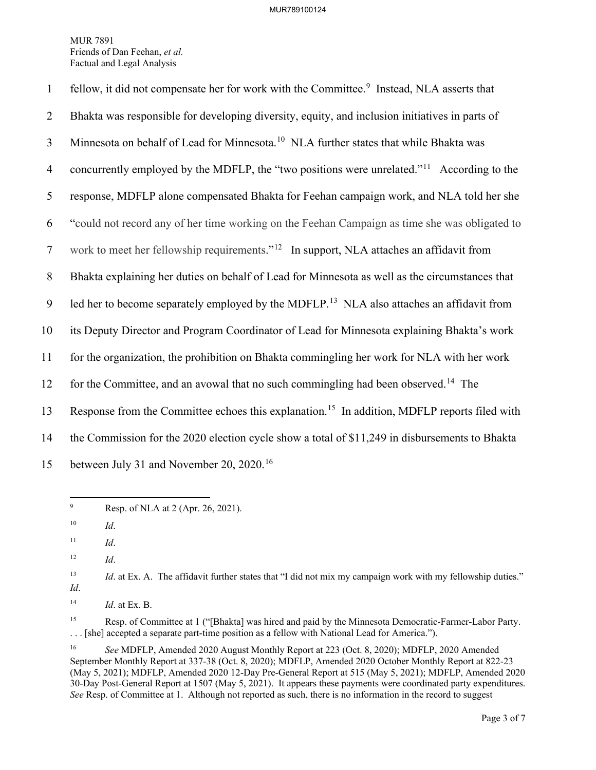| $\mathbf{1}$   | fellow, it did not compensate her for work with the Committee. <sup>9</sup> Instead, NLA asserts that    |
|----------------|----------------------------------------------------------------------------------------------------------|
| $\overline{2}$ | Bhakta was responsible for developing diversity, equity, and inclusion initiatives in parts of           |
| $\mathfrak{Z}$ | Minnesota on behalf of Lead for Minnesota. <sup>10</sup> NLA further states that while Bhakta was        |
| $\overline{4}$ | concurrently employed by the MDFLP, the "two positions were unrelated." <sup>11</sup> According to the   |
| 5              | response, MDFLP alone compensated Bhakta for Feehan campaign work, and NLA told her she                  |
| 6              | "could not record any of her time working on the Feehan Campaign as time she was obligated to            |
| $\tau$         | work to meet her fellowship requirements." <sup>12</sup> In support, NLA attaches an affidavit from      |
| 8              | Bhakta explaining her duties on behalf of Lead for Minnesota as well as the circumstances that           |
| 9              | led her to become separately employed by the MDFLP. <sup>13</sup> NLA also attaches an affidavit from    |
| 10             | its Deputy Director and Program Coordinator of Lead for Minnesota explaining Bhakta's work               |
| 11             | for the organization, the prohibition on Bhakta commingling her work for NLA with her work               |
| 12             | for the Committee, and an avowal that no such commingling had been observed. <sup>14</sup> The           |
| 13             | Response from the Committee echoes this explanation. <sup>15</sup> In addition, MDFLP reports filed with |
| 14             | the Commission for the 2020 election cycle show a total of \$11,249 in disbursements to Bhakta           |
| 15             | between July 31 and November 20, 2020. <sup>16</sup>                                                     |

<span id="page-3-0"></span><sup>9</sup> Resp. of NLA at 2 (Apr. 26, 2021).

<span id="page-3-6"></span><sup>15</sup> Resp. of Committee at 1 ("[Bhakta] was hired and paid by the Minnesota Democratic-Farmer-Labor Party. . . . [she] accepted a separate part-time position as a fellow with National Lead for America.").

<span id="page-3-1"></span><sup>10</sup> *Id*.

<span id="page-3-2"></span> $11$  *Id.* 

<sup>12</sup> *Id*.

<span id="page-3-4"></span><span id="page-3-3"></span><sup>&</sup>lt;sup>13</sup> *Id.* at Ex. A. The affidavit further states that "I did not mix my campaign work with my fellowship duties." *Id*.

<span id="page-3-5"></span><sup>14</sup> *Id*. at Ex. B.

<span id="page-3-7"></span><sup>16</sup> *See* MDFLP, Amended 2020 August Monthly Report at 223 (Oct. 8, 2020); MDFLP, 2020 Amended September Monthly Report at 337-38 (Oct. 8, 2020); MDFLP, Amended 2020 October Monthly Report at 822-23 (May 5, 2021); MDFLP, Amended 2020 12-Day Pre-General Report at 515 (May 5, 2021); MDFLP, Amended 2020 30-Day Post-General Report at 1507 (May 5, 2021). It appears these payments were coordinated party expenditures. *See* Resp. of Committee at 1. Although not reported as such, there is no information in the record to suggest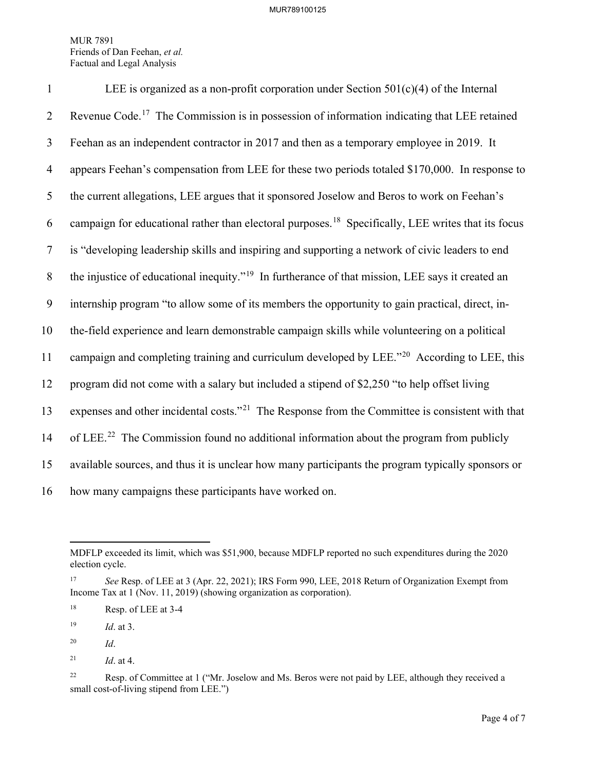| $\mathbf{1}$   | LEE is organized as a non-profit corporation under Section $501(c)(4)$ of the Internal                         |
|----------------|----------------------------------------------------------------------------------------------------------------|
| $\overline{2}$ | Revenue Code. <sup>17</sup> The Commission is in possession of information indicating that LEE retained        |
| 3              | Feehan as an independent contractor in 2017 and then as a temporary employee in 2019. It                       |
| $\overline{4}$ | appears Feehan's compensation from LEE for these two periods totaled \$170,000. In response to                 |
| 5              | the current allegations, LEE argues that it sponsored Joselow and Beros to work on Feehan's                    |
| 6              | campaign for educational rather than electoral purposes. <sup>18</sup> Specifically, LEE writes that its focus |
| $\tau$         | is "developing leadership skills and inspiring and supporting a network of civic leaders to end                |
| 8              | the injustice of educational inequity." <sup>19</sup> In furtherance of that mission, LEE says it created an   |
| 9              | internship program "to allow some of its members the opportunity to gain practical, direct, in-                |
| 10             | the-field experience and learn demonstrable campaign skills while volunteering on a political                  |
| 11             | campaign and completing training and curriculum developed by LEE." <sup>20</sup> According to LEE, this        |
| 12             | program did not come with a salary but included a stipend of \$2,250 "to help offset living                    |
| 13             | expenses and other incidental costs." <sup>21</sup> The Response from the Committee is consistent with that    |
| 14             | of LEE. <sup>22</sup> The Commission found no additional information about the program from publicly           |
| 15             | available sources, and thus it is unclear how many participants the program typically sponsors or              |
| 16             | how many campaigns these participants have worked on.                                                          |

<span id="page-4-3"></span>20 *Id*.

MDFLP exceeded its limit, which was \$51,900, because MDFLP reported no such expenditures during the 2020 election cycle.

<span id="page-4-0"></span><sup>17</sup> *See* Resp. of LEE at 3 (Apr. 22, 2021); IRS Form 990, LEE, 2018 Return of Organization Exempt from Income Tax at 1 (Nov. 11, 2019) (showing organization as corporation).

<span id="page-4-1"></span><sup>18</sup> Resp. of LEE at 3-4

<span id="page-4-2"></span><sup>19</sup> *Id*. at 3.

<span id="page-4-4"></span><sup>&</sup>lt;sup>21</sup> *Id.* at 4.

<span id="page-4-5"></span><sup>&</sup>lt;sup>22</sup> Resp. of Committee at 1 ("Mr. Joselow and Ms. Beros were not paid by LEE, although they received a small cost-of-living stipend from LEE.")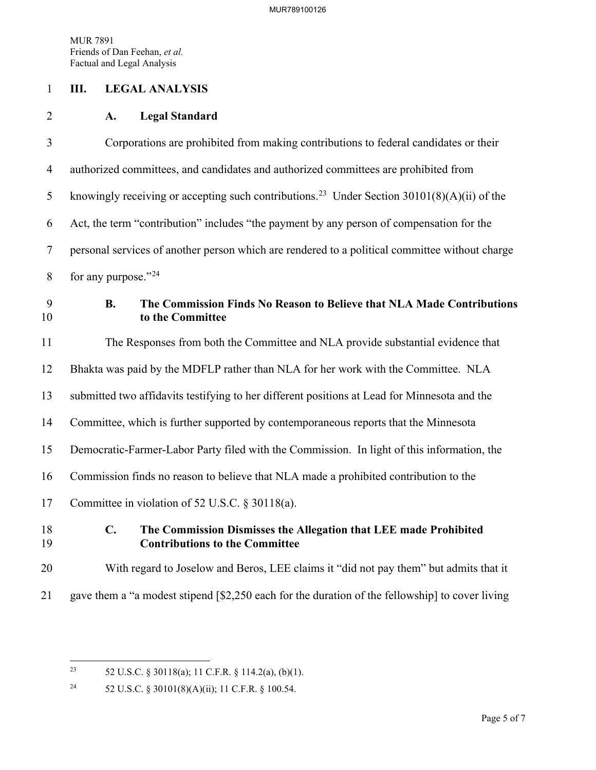#### 1 **III. LEGAL ANALYSIS**

#### 2 **A. Legal Standard**

3 Corporations are prohibited from making contributions to federal candidates or their 4 authorized committees, and candidates and authorized committees are prohibited from 5 knowingly receiving or accepting such contributions.<sup>[23](#page-5-0)</sup> Under Section 30101(8)(A)(ii) of the 6 Act, the term "contribution" includes "the payment by any person of compensation for the 7 personal services of another person which are rendered to a political committee without charge 8 for any purpose." $^{24}$  $^{24}$  $^{24}$ 9 **B. The Commission Finds No Reason to Believe that NLA Made Contributions**  10 **to the Committee**

11 The Responses from both the Committee and NLA provide substantial evidence that 12 Bhakta was paid by the MDFLP rather than NLA for her work with the Committee. NLA 13 submitted two affidavits testifying to her different positions at Lead for Minnesota and the 14 Committee, which is further supported by contemporaneous reports that the Minnesota 15 Democratic-Farmer-Labor Party filed with the Commission. In light of this information, the 16 Commission finds no reason to believe that NLA made a prohibited contribution to the 17 Committee in violation of 52 U.S.C. § 30118(a).

### 18 **C. The Commission Dismisses the Allegation that LEE made Prohibited**  19 **Contributions to the Committee**

# 20 With regard to Joselow and Beros, LEE claims it "did not pay them" but admits that it

21 gave them a "a modest stipend [\$2,250 each for the duration of the fellowship] to cover living

<span id="page-5-0"></span><sup>&</sup>lt;sup>23</sup> 52 U.S.C. § 30118(a); 11 C.F.R. § 114.2(a), (b)(1).

<span id="page-5-1"></span><sup>24 52</sup> U.S.C. § 30101(8)(A)(ii); 11 C.F.R. § 100.54.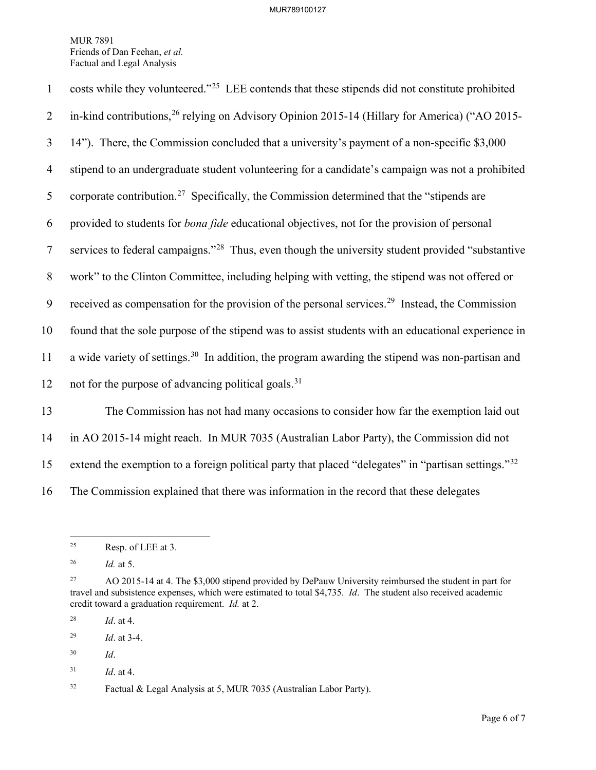| $\mathbf{1}$   | costs while they volunteered." <sup>25</sup> LEE contends that these stipends did not constitute prohibited  |
|----------------|--------------------------------------------------------------------------------------------------------------|
| 2              | in-kind contributions, <sup>26</sup> relying on Advisory Opinion 2015-14 (Hillary for America) ("AO 2015-    |
| $\mathfrak{Z}$ | 14"). There, the Commission concluded that a university's payment of a non-specific \$3,000                  |
| $\overline{4}$ | stipend to an undergraduate student volunteering for a candidate's campaign was not a prohibited             |
| 5              | corporate contribution. <sup>27</sup> Specifically, the Commission determined that the "stipends are         |
| 6              | provided to students for <i>bona fide</i> educational objectives, not for the provision of personal          |
| $\tau$         | services to federal campaigns." <sup>28</sup> Thus, even though the university student provided "substantive |
| 8              | work" to the Clinton Committee, including helping with vetting, the stipend was not offered or               |
| 9              | received as compensation for the provision of the personal services. <sup>29</sup> Instead, the Commission   |
| 10             | found that the sole purpose of the stipend was to assist students with an educational experience in          |
| 11             | a wide variety of settings. <sup>30</sup> In addition, the program awarding the stipend was non-partisan and |
| 12             | not for the purpose of advancing political goals. <sup>31</sup>                                              |
| 13             | The Commission has not had many occasions to consider how far the exemption laid out                         |
| 14             | in AO 2015-14 might reach. In MUR 7035 (Australian Labor Party), the Commission did not                      |

15 extend the exemption to a foreign political party that placed "delegates" in "partisan settings."<sup>[32](#page-6-7)</sup>

16 The Commission explained that there was information in the record that these delegates

<span id="page-6-0"></span> $25$  Resp. of LEE at 3.

<span id="page-6-1"></span><sup>26</sup> *Id.* at 5.

<span id="page-6-2"></span><sup>&</sup>lt;sup>27</sup> AO 2015-14 at 4. The \$3,000 stipend provided by DePauw University reimbursed the student in part for travel and subsistence expenses, which were estimated to total \$4,735. *Id*. The student also received academic credit toward a graduation requirement. *Id.* at 2.

<span id="page-6-3"></span><sup>28</sup> *Id*. at 4.

<span id="page-6-4"></span><sup>29</sup> *Id*. at 3-4.

<span id="page-6-5"></span><sup>30</sup> *Id*.

<span id="page-6-6"></span><sup>31</sup> *Id*. at 4.

<span id="page-6-7"></span><sup>32</sup> Factual & Legal Analysis at 5, MUR 7035 (Australian Labor Party).